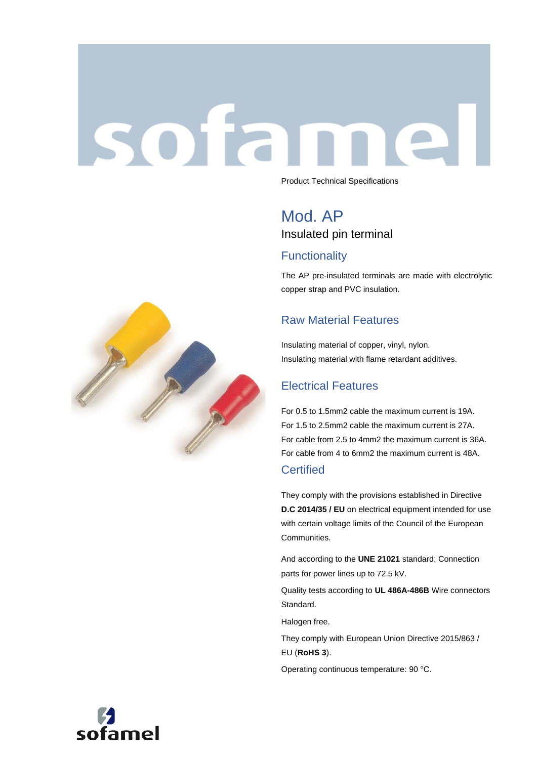# sofar



Product Technical Specifications

## Mod. AP Insulated pin terminal

### **Functionality**

The AP pre-insulated terminals are made with electrolytic copper strap and PVC insulation.

### Raw Material Features

Insulating material of copper, vinyl, nylon. Insulating material with flame retardant additives.

### Electrical Features

For 0.5 to 1.5mm2 cable the maximum current is 19A. For 1.5 to 2.5mm2 cable the maximum current is 27A. For cable from 2.5 to 4mm2 the maximum current is 36A. For cable from 4 to 6mm2 the maximum current is 48A.

### **Certified**

They comply with the provisions established in Directive **D.C 2014/35 / EU** on electrical equipment intended for use with certain voltage limits of the Council of the European Communities.

And according to the **UNE 21021** standard: Connection parts for power lines up to 72.5 kV.

Quality tests according to **UL 486A-486B** Wire connectors Standard.

Halogen free.

They comply with European Union Directive 2015/863 / EU (**RoHS 3**).

Operating continuous temperature: 90 °C.